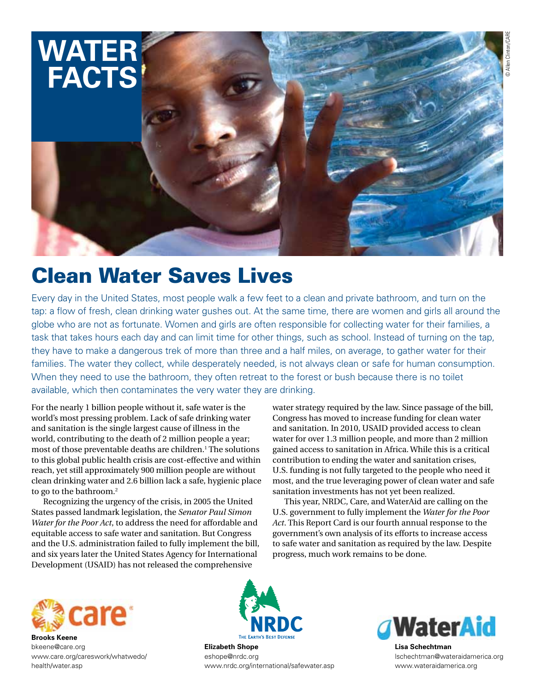

# Clean Water Saves Lives

Every day in the United States, most people walk a few feet to a clean and private bathroom, and turn on the tap: a flow of fresh, clean drinking water gushes out. At the same time, there are women and girls all around the globe who are not as fortunate. Women and girls are often responsible for collecting water for their families, a task that takes hours each day and can limit time for other things, such as school. Instead of turning on the tap, they have to make a dangerous trek of more than three and a half miles, on average, to gather water for their families. The water they collect, while desperately needed, is not always clean or safe for human consumption. When they need to use the bathroom, they often retreat to the forest or bush because there is no toilet available, which then contaminates the very water they are drinking.

For the nearly 1 billion people without it, safe water is the world's most pressing problem. Lack of safe drinking water and sanitation is the single largest cause of illness in the world, contributing to the death of 2 million people a year; most of those preventable deaths are children.<sup>1</sup> The solutions to this global public health crisis are cost-effective and within reach, yet still approximately 900 million people are without clean drinking water and 2.6 billion lack a safe, hygienic place to go to the bathroom.2

Recognizing the urgency of the crisis, in 2005 the United States passed landmark legislation, the *Senator Paul Simon Water for the Poor Act*, to address the need for affordable and equitable access to safe water and sanitation. But Congress and the U.S. administration failed to fully implement the bill, and six years later the United States Agency for International Development (USAID) has not released the comprehensive

water strategy required by the law. Since passage of the bill, Congress has moved to increase funding for clean water and sanitation. In 2010, USAID provided access to clean water for over 1.3 million people, and more than 2 million gained access to sanitation in Africa. While this is a critical contribution to ending the water and sanitation crises, U.S. funding is not fully targeted to the people who need it most, and the true leveraging power of clean water and safe sanitation investments has not yet been realized.

This year, NRDC, Care, and WaterAid are calling on the U.S. government to fully implement the *Water for the Poor Act*. This Report Card is our fourth annual response to the government's own analysis of its efforts to increase access to safe water and sanitation as required by the law. Despite progress, much work remains to be done.



**Brooks Keene** bkeene@care.org www.care.org/careswork/whatwedo/ health/water.asp



**Elizabeth Shope** eshope@nrdc.org www.nrdc.org/international/safewater.asp



**Lisa Schechtman** lschechtman@wateraidamerica.org www.wateraidamerica.org